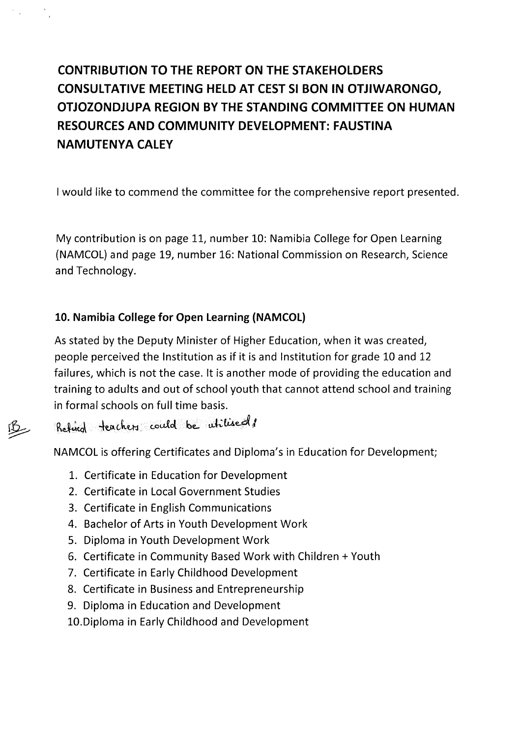# **CONTRIBUTION TO THE REPORT ON THE STAKEHOLDERS CONSULTATIVE MEETING HELD AT CEST SI BON IN OTJIWARONGO, OTJOZONDJUPA REGION BY THE STANDING COMMITTEE ON HUMAN RESOURCES AND COMMUNITY DEVELOPMENT: FAUSTINA NAMUTENYA CALEY**

I would like to commend the committee for the comprehensive report presented.

My contribution is on page 11, number 10: Namibia College for Open Learning (NAMCOL) and page 19, number 16: National Commission on Research, Science and Technology.

## **10. Namibia College for Open Learning (NAMCOL)**

As stated by the Deputy Minister of Higher Education, when it was created, people perceived the Institution as if it is and Institution for grade 10 and 12 failures, which is not the case. It is another mode of providing the education and training to adults and out of school youth that cannot attend school and training in formal schools on full time basis.

 $R$ ethed teachers could be utilised!

NAMCOL is offering Certificates and Diploma's in Education for Development;

- 1. Certificate in Education for Development
- 2. Certificate in Local Government Studies
- 3. Certificate in English Communications
- 4. Bachelor of Arts in Youth Development Work
- 5. Diploma in Youth Development Work
- 6. Certificate in Community Based Work with Children + Youth
- 7. Certificate in Early Childhood Development
- 8. Certificate in Business and Entrepreneurship
- 9. Diploma in Education and Development
- 10.Diploma in Early Childhood and Development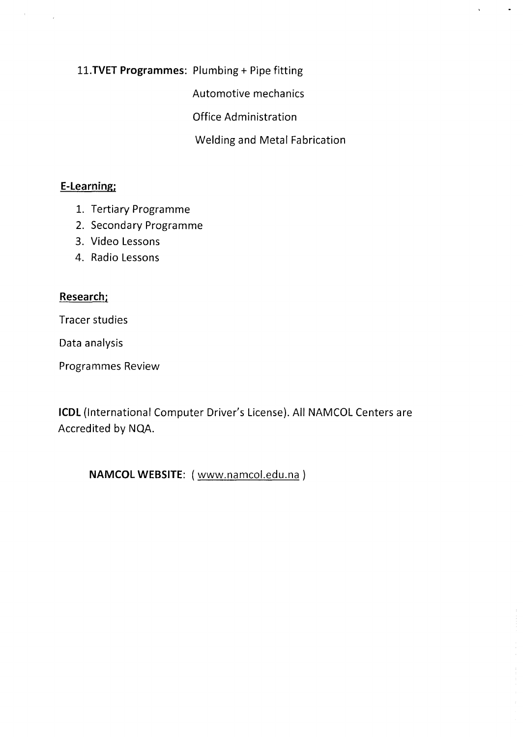**l1.TVET Programmes:** Plumbing + Pipe fitting

Automotive mechanics

Office Administration

Welding and Metal Fabrication

### **E-Learning;**

 $\mathcal{A}^{(1)}$  .

 $\sim 10$ 

- 1. Tertiary Programme
- 2. Secondary Programme
- 3. Video Lessons
- 4. Radio Lessons

#### **Research;**

Tracer studies

Data analysis

Programmes Review

**ICDL** {International Computer Driver's License}. All NAMCOL Centers are Accredited by NQA.

**NAMCOL WEBSITE:** {www.namcol.edu.na}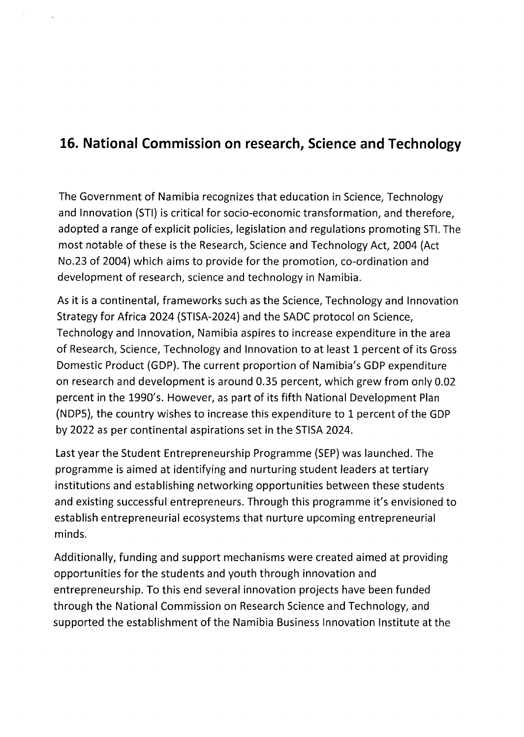# **16. National Commission on research, Science and Technology**

The Government of Namibia recognizes that education in Science, Technology and Innovation (STI) is critical for socio-economic transformation, and therefore, adopted a range of explicit policies, legislation and regulations promoting STI.The most notable of these is the Research, Science and Technology Act, 2004 (Act No.23 of 2004) which aims to provide for the promotion, co-ordination and development of research, science and technology in Namibia.

As it is a continental, frameworks such as the Science, Technology and Innovation Strategy for Africa 2024 (STISA-2024) and the SADC protocol on Science, Technology and Innovation, Namibia aspires to increase expenditure in the area of Research, Science, Technology and Innovation to at least 1 percent of its Gross Domestic Product (GDP). The current proportion of Namibia's GDP expenditure on research and development is around 0.35 percent, which grew from only 0.02 percent in the 1990's. However, as part of its fifth National Development Plan (NDP5), the country wishes to increase this expenditure to 1 percent of the GDP by 2022 as per continental aspirations set in the STISA2024.

Last year the Student Entrepreneurship Programme (SEP) was launched. The programme is aimed at identifying and nurturing student leaders at tertiary institutions and establishing networking opportunities between these students and existing successful entrepreneurs. Through this programme it's envisioned to establish entrepreneurial ecosystems that nurture upcoming entrepreneurial minds.

Additionally, funding and support mechanisms were created aimed at providing opportunities for the students and youth through innovation and entrepreneurship. To this end several innovation projects have been funded through the National Commission on Research Science and Technology, and supported the establishment of the Namibia Business Innovation Institute at the